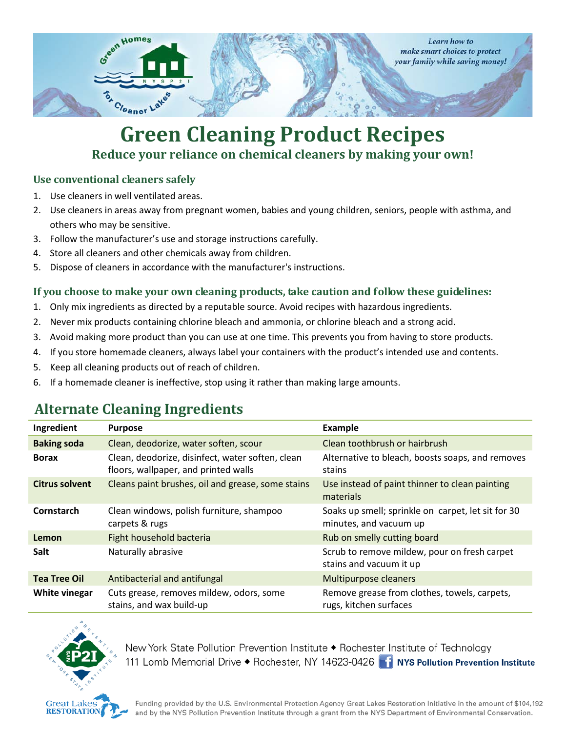

## **Green Cleaning Product Recipes Reduce your reliance on chemical cleaners by making your own!**

#### **Use conventional cleaners safely**

- 1. Use cleaners in well ventilated areas.
- 2. Use cleaners in areas away from pregnant women, babies and young children, seniors, people with asthma, and others who may be sensitive.
- 3. Follow the manufacturer's use and storage instructions carefully.
- 4. Store all cleaners and other chemicals away from children.
- 5. Dispose of cleaners in accordance with the manufacturer's instructions.

#### **If you choose to make your own cleaning products, take caution and follow these guidelines:**

- 1. Only mix ingredients as directed by a reputable source. Avoid recipes with hazardous ingredients.
- 2. Never mix products containing chlorine bleach and ammonia, or chlorine bleach and a strong acid.
- 3. Avoid making more product than you can use at one time. This prevents you from having to store products.
- 4. If you store homemade cleaners, always label your containers with the product's intended use and contents.
- 5. Keep all cleaning products out of reach of children.
- 6. If a homemade cleaner is ineffective, stop using it rather than making large amounts.

### **Alternate Cleaning Ingredients**

| Ingredient            | <b>Purpose</b>                                                                           | Example                                                                      |
|-----------------------|------------------------------------------------------------------------------------------|------------------------------------------------------------------------------|
| <b>Baking soda</b>    | Clean, deodorize, water soften, scour                                                    | Clean toothbrush or hairbrush                                                |
| <b>Borax</b>          | Clean, deodorize, disinfect, water soften, clean<br>floors, wallpaper, and printed walls | Alternative to bleach, boosts soaps, and removes<br>stains                   |
| <b>Citrus solvent</b> | Cleans paint brushes, oil and grease, some stains                                        | Use instead of paint thinner to clean painting<br>materials                  |
| Cornstarch            | Clean windows, polish furniture, shampoo<br>carpets & rugs                               | Soaks up smell; sprinkle on carpet, let sit for 30<br>minutes, and vacuum up |
| Lemon                 | Fight household bacteria                                                                 | Rub on smelly cutting board                                                  |
| Salt                  | Naturally abrasive                                                                       | Scrub to remove mildew, pour on fresh carpet<br>stains and vacuum it up      |
| <b>Tea Tree Oil</b>   | Antibacterial and antifungal                                                             | <b>Multipurpose cleaners</b>                                                 |
| White vinegar         | Cuts grease, removes mildew, odors, some<br>stains, and wax build-up                     | Remove grease from clothes, towels, carpets,<br>rugs, kitchen surfaces       |



New York State Pollution Prevention Institute ◆ Rochester Institute of Technology 111 Lomb Memorial Drive ◆ Rochester, NY 14623-0426 1 NYS Pollution Prevention Institute

Funding provided by the U.S. Environmental Protection Agency Great Lakes Restoration Initiative in the amount of \$104,192 and by the NYS Pollution Prevention Institute through a grant from the NYS Department of Environmental Conservation.